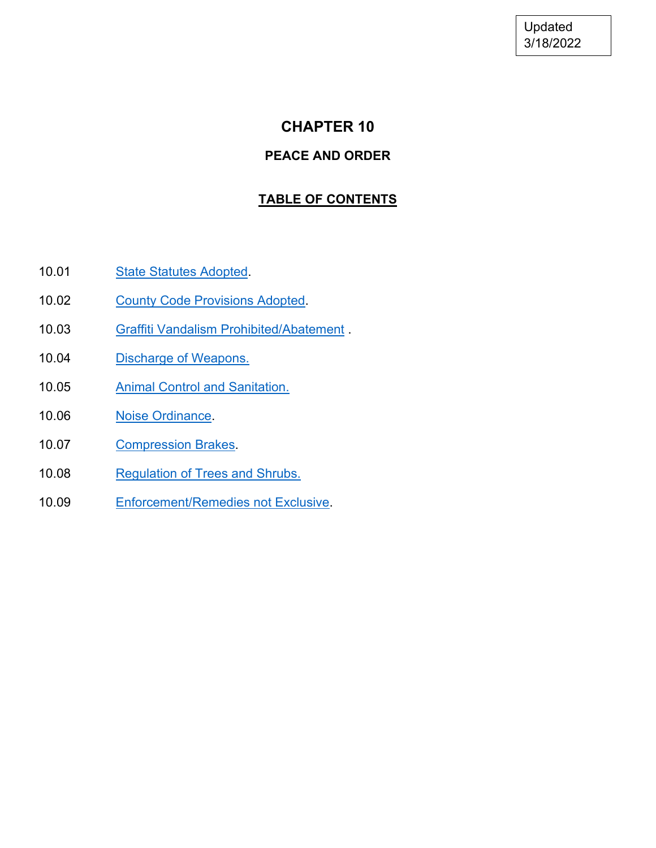Updated 3/18/2022

# **CHAPTER 10**

# **PEACE AND ORDER**

# **TABLE OF CONTENTS**

- 10.01 [State Statutes Adopted.](#page-1-0)
- 10.02 [County Code Provisions Adopted.](#page-2-0)
- 10.03 [Graffiti Vandalism Prohibited/Abatement](#page-3-0) .
- 10.04 [Discharge of Weapons.](#page-4-0)
- 10.05 [Animal Control and Sanitation.](#page-5-0)
- 10.06 Noise Ordinance
- 10.07 [Compression Brakes.](#page-11-0)
- 10.08 [Regulation of Trees and Shrubs.](#page-11-1)
- 10.09 [Enforcement/Remedies not Exclusive.](#page-14-0)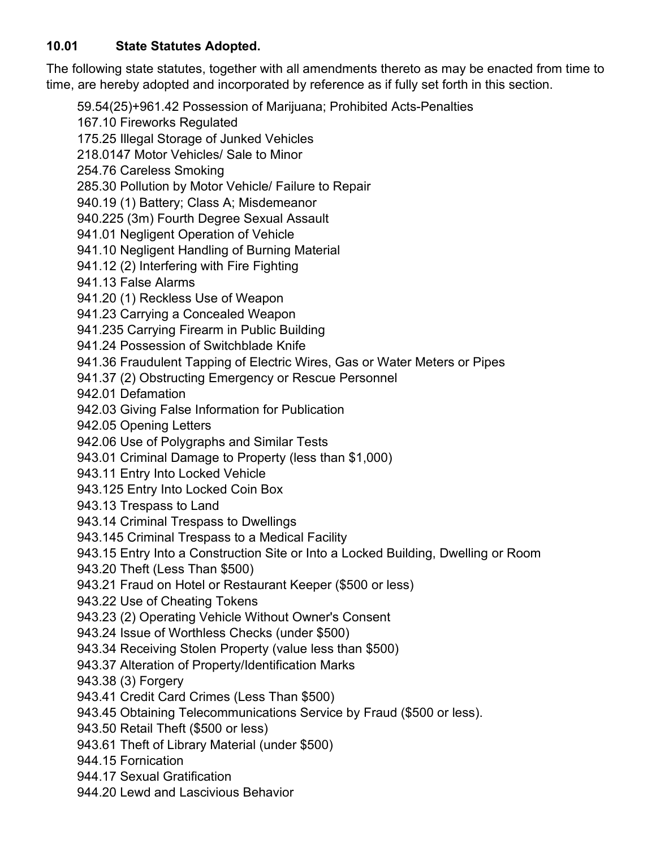# <span id="page-1-0"></span>**10.01 State Statutes Adopted.**

The following state statutes, together with all amendments thereto as may be enacted from time to time, are hereby adopted and incorporated by reference as if fully set forth in this section.

59.54(25)+961.42 Possession of Marijuana; Prohibited Acts-Penalties

167.10 Fireworks Regulated

175.25 Illegal Storage of Junked Vehicles

218.0147 Motor Vehicles/ Sale to Minor

254.76 Careless Smoking

285.30 Pollution by Motor Vehicle/ Failure to Repair

940.19 (1) Battery; Class A; Misdemeanor

940.225 (3m) Fourth Degree Sexual Assault

941.01 Negligent Operation of Vehicle

941.10 Negligent Handling of Burning Material

941.12 (2) Interfering with Fire Fighting

941.13 False Alarms

941.20 (1) Reckless Use of Weapon

941.23 Carrying a Concealed Weapon

941.235 Carrying Firearm in Public Building

941.24 Possession of Switchblade Knife

941.36 Fraudulent Tapping of Electric Wires, Gas or Water Meters or Pipes

941.37 (2) Obstructing Emergency or Rescue Personnel

942.01 Defamation

942.03 Giving False Information for Publication

942.05 Opening Letters

942.06 Use of Polygraphs and Similar Tests

943.01 Criminal Damage to Property (less than \$1,000)

943.11 Entry Into Locked Vehicle

943.125 Entry Into Locked Coin Box

943.13 Trespass to Land

943.14 Criminal Trespass to Dwellings

943.145 Criminal Trespass to a Medical Facility

943.15 Entry Into a Construction Site or Into a Locked Building, Dwelling or Room

943.20 Theft (Less Than \$500)

943.21 Fraud on Hotel or Restaurant Keeper (\$500 or less)

943.22 Use of Cheating Tokens

943.23 (2) Operating Vehicle Without Owner's Consent

943.24 Issue of Worthless Checks (under \$500)

943.34 Receiving Stolen Property (value less than \$500)

943.37 Alteration of Property/Identification Marks

943.38 (3) Forgery

943.41 Credit Card Crimes (Less Than \$500)

943.45 Obtaining Telecommunications Service by Fraud (\$500 or less).

943.50 Retail Theft (\$500 or less)

943.61 Theft of Library Material (under \$500)

944.15 Fornication

944.17 Sexual Gratification

944.20 Lewd and Lascivious Behavior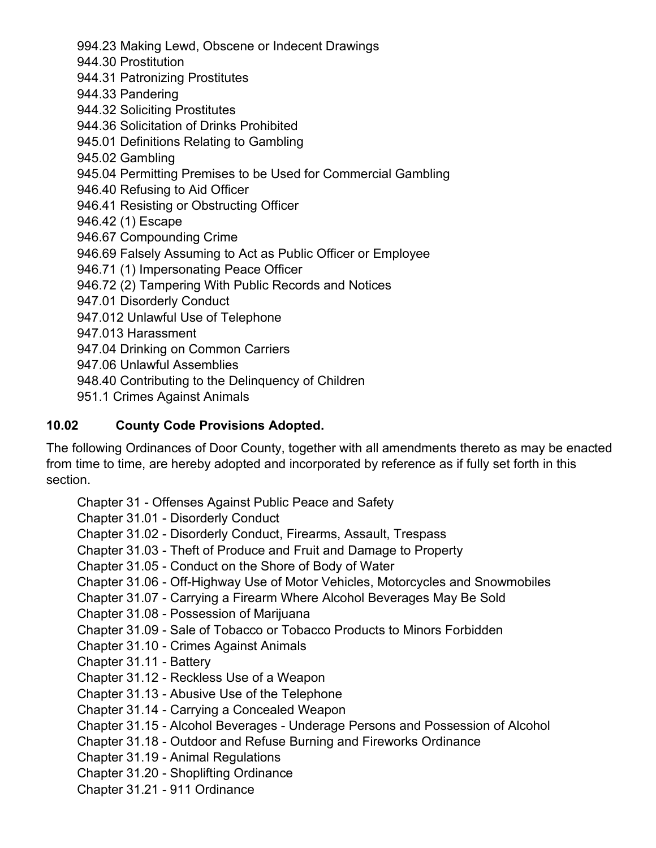994.23 Making Lewd, Obscene or Indecent Drawings

944.30 Prostitution

944.31 Patronizing Prostitutes

944.33 Pandering

944.32 Soliciting Prostitutes

944.36 Solicitation of Drinks Prohibited

945.01 Definitions Relating to Gambling

945.02 Gambling

945.04 Permitting Premises to be Used for Commercial Gambling

946.40 Refusing to Aid Officer

946.41 Resisting or Obstructing Officer

946.42 (1) Escape

946.67 Compounding Crime

946.69 Falsely Assuming to Act as Public Officer or Employee

946.71 (1) Impersonating Peace Officer

946.72 (2) Tampering With Public Records and Notices

947.01 Disorderly Conduct

947.012 Unlawful Use of Telephone

947.013 Harassment

947.04 Drinking on Common Carriers

947.06 Unlawful Assemblies

948.40 Contributing to the Delinquency of Children

951.1 Crimes Against Animals

### <span id="page-2-0"></span>**10.02 County Code Provisions Adopted.**

The following Ordinances of Door County, together with all amendments thereto as may be enacted from time to time, are hereby adopted and incorporated by reference as if fully set forth in this section.

Chapter 31 - Offenses Against Public Peace and Safety

Chapter 31.01 - Disorderly Conduct

Chapter 31.02 - Disorderly Conduct, Firearms, Assault, Trespass

Chapter 31.03 - Theft of Produce and Fruit and Damage to Property

Chapter 31.05 - Conduct on the Shore of Body of Water

Chapter 31.06 - Off-Highway Use of Motor Vehicles, Motorcycles and Snowmobiles

Chapter 31.07 - Carrying a Firearm Where Alcohol Beverages May Be Sold

Chapter 31.08 - Possession of Marijuana

Chapter 31.09 - Sale of Tobacco or Tobacco Products to Minors Forbidden

Chapter 31.10 - Crimes Against Animals

Chapter 31.11 - Battery

Chapter 31.12 - Reckless Use of a Weapon

Chapter 31.13 - Abusive Use of the Telephone

Chapter 31.14 - Carrying a Concealed Weapon

Chapter 31.15 - Alcohol Beverages - Underage Persons and Possession of Alcohol

Chapter 31.18 - Outdoor and Refuse Burning and Fireworks Ordinance

Chapter 31.19 - Animal Regulations

Chapter 31.20 - Shoplifting Ordinance

Chapter 31.21 - 911 Ordinance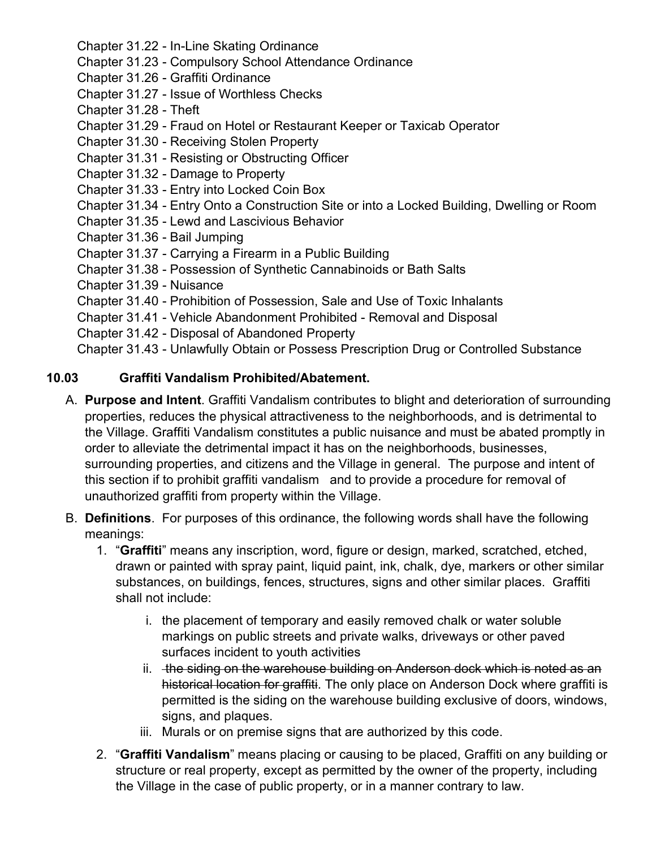Chapter 31.22 - In-Line Skating Ordinance

Chapter 31.23 - Compulsory School Attendance Ordinance

- Chapter 31.26 Graffiti Ordinance
- Chapter 31.27 Issue of Worthless Checks
- Chapter 31.28 Theft
- Chapter 31.29 Fraud on Hotel or Restaurant Keeper or Taxicab Operator
- Chapter 31.30 Receiving Stolen Property
- Chapter 31.31 Resisting or Obstructing Officer
- Chapter 31.32 Damage to Property
- Chapter 31.33 Entry into Locked Coin Box
- Chapter 31.34 Entry Onto a Construction Site or into a Locked Building, Dwelling or Room
- Chapter 31.35 Lewd and Lascivious Behavior
- Chapter 31.36 Bail Jumping
- Chapter 31.37 Carrying a Firearm in a Public Building
- Chapter 31.38 Possession of Synthetic Cannabinoids or Bath Salts
- Chapter 31.39 Nuisance
- Chapter 31.40 Prohibition of Possession, Sale and Use of Toxic Inhalants
- Chapter 31.41 Vehicle Abandonment Prohibited Removal and Disposal
- Chapter 31.42 Disposal of Abandoned Property

Chapter 31.43 - Unlawfully Obtain or Possess Prescription Drug or Controlled Substance

#### <span id="page-3-0"></span>**10.03 Graffiti Vandalism Prohibited/Abatement.**

- A. **Purpose and Intent**. Graffiti Vandalism contributes to blight and deterioration of surrounding properties, reduces the physical attractiveness to the neighborhoods, and is detrimental to the Village. Graffiti Vandalism constitutes a public nuisance and must be abated promptly in order to alleviate the detrimental impact it has on the neighborhoods, businesses, surrounding properties, and citizens and the Village in general. The purpose and intent of this section if to prohibit graffiti vandalism and to provide a procedure for removal of unauthorized graffiti from property within the Village.
- B. **Definitions**. For purposes of this ordinance, the following words shall have the following meanings:
	- 1. "**Graffiti**" means any inscription, word, figure or design, marked, scratched, etched, drawn or painted with spray paint, liquid paint, ink, chalk, dye, markers or other similar substances, on buildings, fences, structures, signs and other similar places. Graffiti shall not include:
		- i. the placement of temporary and easily removed chalk or water soluble markings on public streets and private walks, driveways or other paved surfaces incident to youth activities
		- ii. the siding on the warehouse building on Anderson dock which is noted as an historical location for graffiti. The only place on Anderson Dock where graffiti is permitted is the siding on the warehouse building exclusive of doors, windows, signs, and plaques.
		- iii. Murals or on premise signs that are authorized by this code.
	- 2. "**Graffiti Vandalism**" means placing or causing to be placed, Graffiti on any building or structure or real property, except as permitted by the owner of the property, including the Village in the case of public property, or in a manner contrary to law.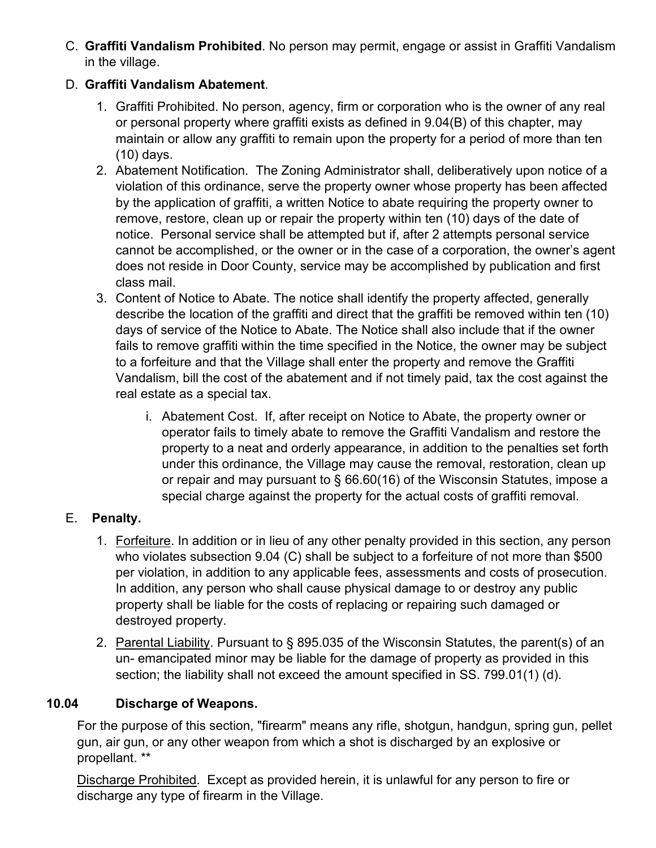C. **Graffiti Vandalism Prohibited**. No person may permit, engage or assist in Graffiti Vandalism in the village.

# D. **Graffiti Vandalism Abatement**.

- 1. Graffiti Prohibited. No person, agency, firm or corporation who is the owner of any real or personal property where graffiti exists as defined in 9.04(B) of this chapter, may maintain or allow any graffiti to remain upon the property for a period of more than ten (10) days.
- 2. Abatement Notification. The Zoning Administrator shall, deliberatively upon notice of a violation of this ordinance, serve the property owner whose property has been affected by the application of graffiti, a written Notice to abate requiring the property owner to remove, restore, clean up or repair the property within ten (10) days of the date of notice. Personal service shall be attempted but if, after 2 attempts personal service cannot be accomplished, or the owner or in the case of a corporation, the owner's agent does not reside in Door County, service may be accomplished by publication and first class mail.
- 3. Content of Notice to Abate. The notice shall identify the property affected, generally describe the location of the graffiti and direct that the graffiti be removed within ten (10) days of service of the Notice to Abate. The Notice shall also include that if the owner fails to remove graffiti within the time specified in the Notice, the owner may be subject to a forfeiture and that the Village shall enter the property and remove the Graffiti Vandalism, bill the cost of the abatement and if not timely paid, tax the cost against the real estate as a special tax.
	- i. Abatement Cost. If, after receipt on Notice to Abate, the property owner or operator fails to timely abate to remove the Graffiti Vandalism and restore the property to a neat and orderly appearance, in addition to the penalties set forth under this ordinance, the Village may cause the removal, restoration, clean up or repair and may pursuant to § 66.60(16) of the Wisconsin Statutes, impose a special charge against the property for the actual costs of graffiti removal.

# E. **Penalty.**

- 1. Forfeiture. In addition or in lieu of any other penalty provided in this section, any person who violates subsection 9.04 (C) shall be subject to a forfeiture of not more than \$500 per violation, in addition to any applicable fees, assessments and costs of prosecution. In addition, any person who shall cause physical damage to or destroy any public property shall be liable for the costs of replacing or repairing such damaged or destroyed property.
- 2. Parental Liability. Pursuant to § 895.035 of the Wisconsin Statutes, the parent(s) of an un- emancipated minor may be liable for the damage of property as provided in this section; the liability shall not exceed the amount specified in SS. 799.01(1) (d).

# <span id="page-4-0"></span>**10.04 Discharge of Weapons.**

For the purpose of this section, "firearm" means any rifle, shotgun, handgun, spring gun, pellet gun, air gun, or any other weapon from which a shot is discharged by an explosive or propellant. \*\*

Discharge Prohibited. Except as provided herein, it is unlawful for any person to fire or discharge any type of firearm in the Village.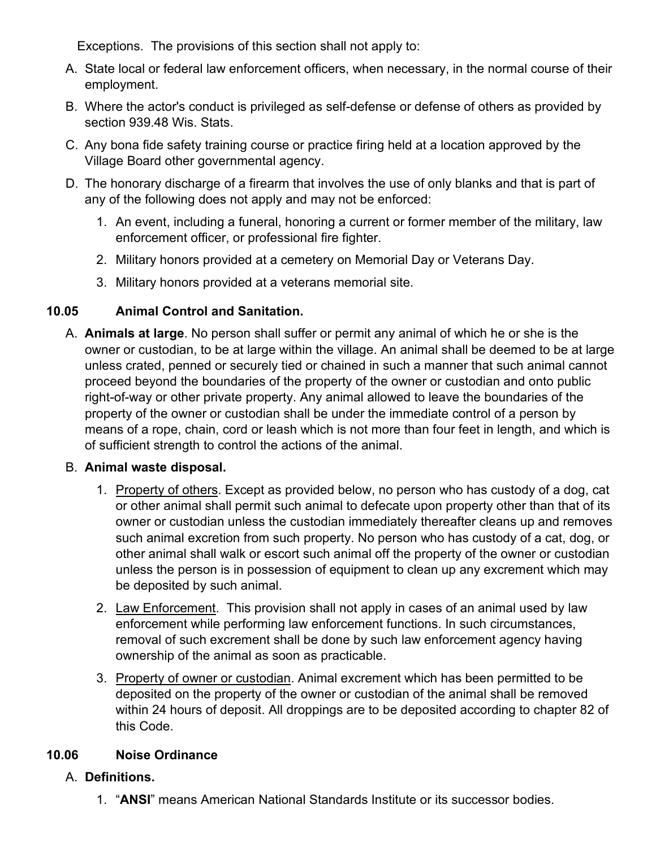Exceptions. The provisions of this section shall not apply to:

- A. State local or federal law enforcement officers, when necessary, in the normal course of their employment.
- B. Where the actor's conduct is privileged as self-defense or defense of others as provided by section 939.48 Wis. Stats.
- C. Any bona fide safety training course or practice firing held at a location approved by the Village Board other governmental agency.
- D. The honorary discharge of a firearm that involves the use of only blanks and that is part of any of the following does not apply and may not be enforced:
	- 1. An event, including a funeral, honoring a current or former member of the military, law enforcement officer, or professional fire fighter.
	- 2. Military honors provided at a cemetery on Memorial Day or Veterans Day.
	- 3. Military honors provided at a veterans memorial site.

### <span id="page-5-0"></span>**10.05 Animal Control and Sanitation.**

A. **Animals at large**. No person shall suffer or permit any animal of which he or she is the owner or custodian, to be at large within the village. An animal shall be deemed to be at large unless crated, penned or securely tied or chained in such a manner that such animal cannot proceed beyond the boundaries of the property of the owner or custodian and onto public right-of-way or other private property. Any animal allowed to leave the boundaries of the property of the owner or custodian shall be under the immediate control of a person by means of a rope, chain, cord or leash which is not more than four feet in length, and which is of sufficient strength to control the actions of the animal.

### B. **Animal waste disposal.**

- 1. Property of others. Except as provided below, no person who has custody of a dog, cat or other animal shall permit such animal to defecate upon property other than that of its owner or custodian unless the custodian immediately thereafter cleans up and removes such animal excretion from such property. No person who has custody of a cat, dog, or other animal shall walk or escort such animal off the property of the owner or custodian unless the person is in possession of equipment to clean up any excrement which may be deposited by such animal.
- 2. Law Enforcement. This provision shall not apply in cases of an animal used by law enforcement while performing law enforcement functions. In such circumstances, removal of such excrement shall be done by such law enforcement agency having ownership of the animal as soon as practicable.
- 3. Property of owner or custodian. Animal excrement which has been permitted to be deposited on the property of the owner or custodian of the animal shall be removed within 24 hours of deposit. All droppings are to be deposited according to chapter 82 of this Code.

# <span id="page-5-1"></span>**10.06 Noise Ordinance**

### A. **Definitions.**

1. "**ANSI**" means American National Standards Institute or its successor bodies.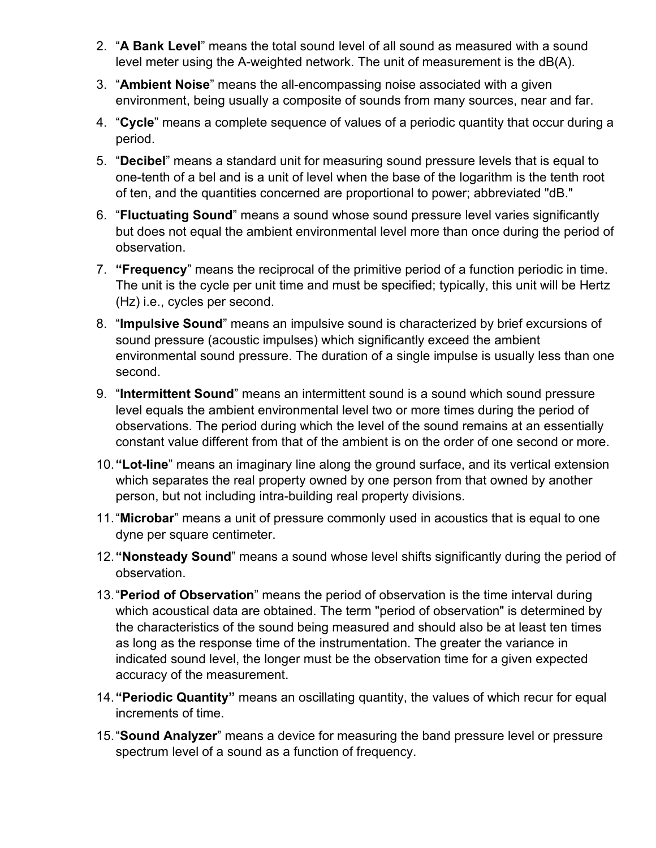- 2. "**A Bank Level**" means the total sound level of all sound as measured with a sound level meter using the A-weighted network. The unit of measurement is the dB(A).
- 3. "**Ambient Noise**" means the all-encompassing noise associated with a given environment, being usually a composite of sounds from many sources, near and far.
- 4. "**Cycle**" means a complete sequence of values of a periodic quantity that occur during a period.
- 5. "**Decibel**" means a standard unit for measuring sound pressure levels that is equal to one-tenth of a bel and is a unit of level when the base of the logarithm is the tenth root of ten, and the quantities concerned are proportional to power; abbreviated "dB."
- 6. "**Fluctuating Sound**" means a sound whose sound pressure level varies significantly but does not equal the ambient environmental level more than once during the period of observation.
- 7. **"Frequency**" means the reciprocal of the primitive period of a function periodic in time. The unit is the cycle per unit time and must be specified; typically, this unit will be Hertz (Hz) i.e., cycles per second.
- 8. "**Impulsive Sound**" means an impulsive sound is characterized by brief excursions of sound pressure (acoustic impulses) which significantly exceed the ambient environmental sound pressure. The duration of a single impulse is usually less than one second.
- 9. "**Intermittent Sound**" means an intermittent sound is a sound which sound pressure level equals the ambient environmental level two or more times during the period of observations. The period during which the level of the sound remains at an essentially constant value different from that of the ambient is on the order of one second or more.
- 10.**"Lot-line**" means an imaginary line along the ground surface, and its vertical extension which separates the real property owned by one person from that owned by another person, but not including intra-building real property divisions.
- 11."**Microbar**" means a unit of pressure commonly used in acoustics that is equal to one dyne per square centimeter.
- 12.**"Nonsteady Sound**" means a sound whose level shifts significantly during the period of observation.
- 13."**Period of Observation**" means the period of observation is the time interval during which acoustical data are obtained. The term "period of observation" is determined by the characteristics of the sound being measured and should also be at least ten times as long as the response time of the instrumentation. The greater the variance in indicated sound level, the longer must be the observation time for a given expected accuracy of the measurement.
- 14.**"Periodic Quantity"** means an oscillating quantity, the values of which recur for equal increments of time.
- 15."**Sound Analyzer**" means a device for measuring the band pressure level or pressure spectrum level of a sound as a function of frequency.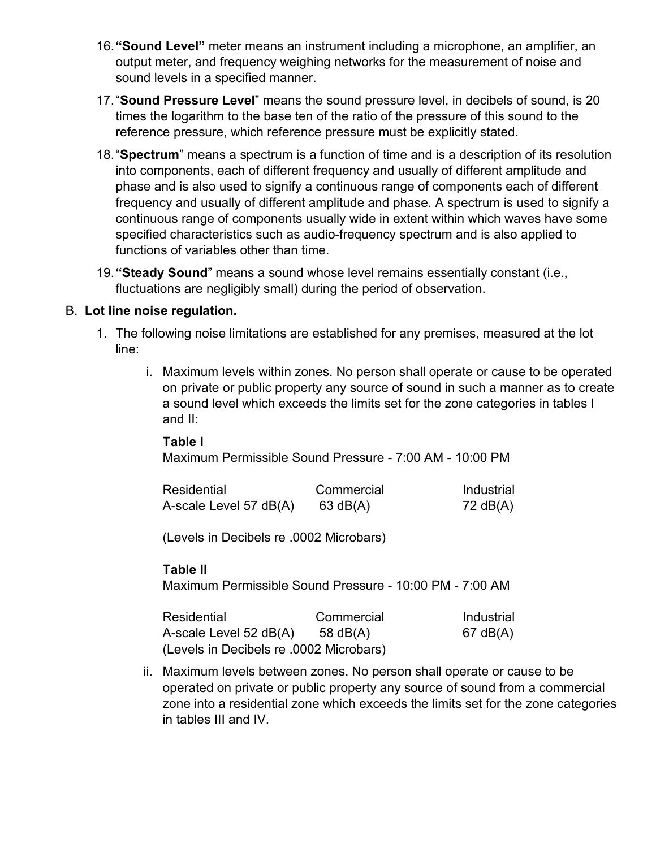- 16.**"Sound Level"** meter means an instrument including a microphone, an amplifier, an output meter, and frequency weighing networks for the measurement of noise and sound levels in a specified manner.
- 17."**Sound Pressure Level**" means the sound pressure level, in decibels of sound, is 20 times the logarithm to the base ten of the ratio of the pressure of this sound to the reference pressure, which reference pressure must be explicitly stated.
- 18."**Spectrum**" means a spectrum is a function of time and is a description of its resolution into components, each of different frequency and usually of different amplitude and phase and is also used to signify a continuous range of components each of different frequency and usually of different amplitude and phase. A spectrum is used to signify a continuous range of components usually wide in extent within which waves have some specified characteristics such as audio-frequency spectrum and is also applied to functions of variables other than time.
- 19.**"Steady Sound**" means a sound whose level remains essentially constant (i.e., fluctuations are negligibly small) during the period of observation.

#### B. **Lot line noise regulation.**

- 1. The following noise limitations are established for any premises, measured at the lot line:
	- i. Maximum levels within zones. No person shall operate or cause to be operated on private or public property any source of sound in such a manner as to create a sound level which exceeds the limits set for the zone categories in tables I and II:

#### **Table I**

Maximum Permissible Sound Pressure - 7:00 AM - 10:00 PM

| Residential            | Commercial | Industrial |
|------------------------|------------|------------|
| A-scale Level 57 dB(A) | $63$ dB(A) | 72 dB(A)   |

(Levels in Decibels re .0002 Microbars)

### **Table II**

Maximum Permissible Sound Pressure - 10:00 PM - 7:00 AM

| Residential                             | Commercial | Industrial |
|-----------------------------------------|------------|------------|
| A-scale Level 52 $dB(A)$ 58 $dB(A)$     |            | $67$ dB(A) |
| (Levels in Decibels re .0002 Microbars) |            |            |

ii. Maximum levels between zones. No person shall operate or cause to be operated on private or public property any source of sound from a commercial zone into a residential zone which exceeds the limits set for the zone categories in tables III and IV.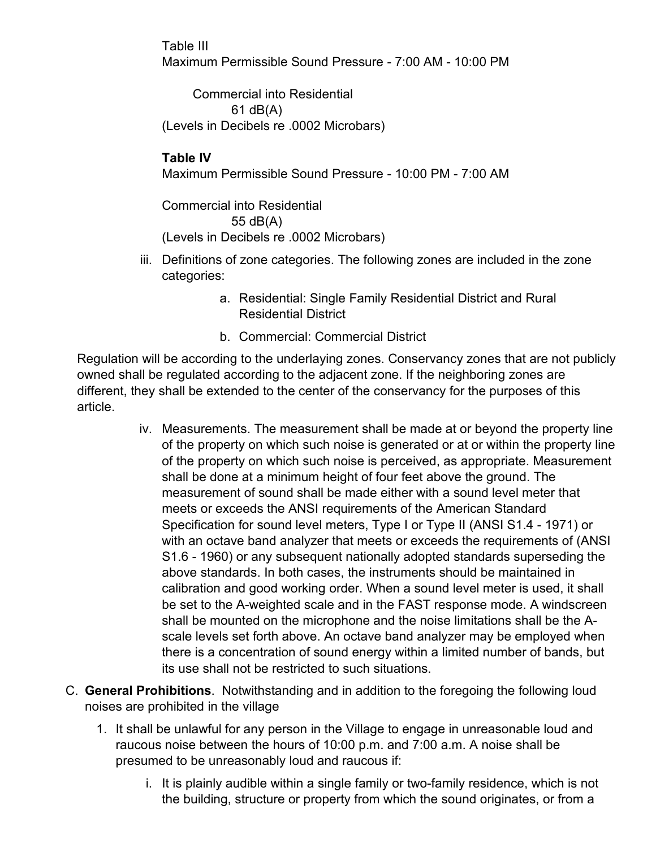Table III Maximum Permissible Sound Pressure - 7:00 AM - 10:00 PM

Commercial into Residential 61 dB(A) (Levels in Decibels re .0002 Microbars)

# **Table IV**

Maximum Permissible Sound Pressure - 10:00 PM - 7:00 AM

Commercial into Residential 55 dB(A) (Levels in Decibels re .0002 Microbars)

- iii. Definitions of zone categories. The following zones are included in the zone categories:
	- a. Residential: Single Family Residential District and Rural Residential District
	- b. Commercial: Commercial District

Regulation will be according to the underlaying zones. Conservancy zones that are not publicly owned shall be regulated according to the adjacent zone. If the neighboring zones are different, they shall be extended to the center of the conservancy for the purposes of this article.

- iv. Measurements. The measurement shall be made at or beyond the property line of the property on which such noise is generated or at or within the property line of the property on which such noise is perceived, as appropriate. Measurement shall be done at a minimum height of four feet above the ground. The measurement of sound shall be made either with a sound level meter that meets or exceeds the ANSI requirements of the American Standard Specification for sound level meters, Type I or Type II (ANSI S1.4 - 1971) or with an octave band analyzer that meets or exceeds the requirements of (ANSI S1.6 - 1960) or any subsequent nationally adopted standards superseding the above standards. In both cases, the instruments should be maintained in calibration and good working order. When a sound level meter is used, it shall be set to the A-weighted scale and in the FAST response mode. A windscreen shall be mounted on the microphone and the noise limitations shall be the Ascale levels set forth above. An octave band analyzer may be employed when there is a concentration of sound energy within a limited number of bands, but its use shall not be restricted to such situations.
- C. **General Prohibitions**. Notwithstanding and in addition to the foregoing the following loud noises are prohibited in the village
	- 1. It shall be unlawful for any person in the Village to engage in unreasonable loud and raucous noise between the hours of 10:00 p.m. and 7:00 a.m. A noise shall be presumed to be unreasonably loud and raucous if:
		- i. It is plainly audible within a single family or two-family residence, which is not the building, structure or property from which the sound originates, or from a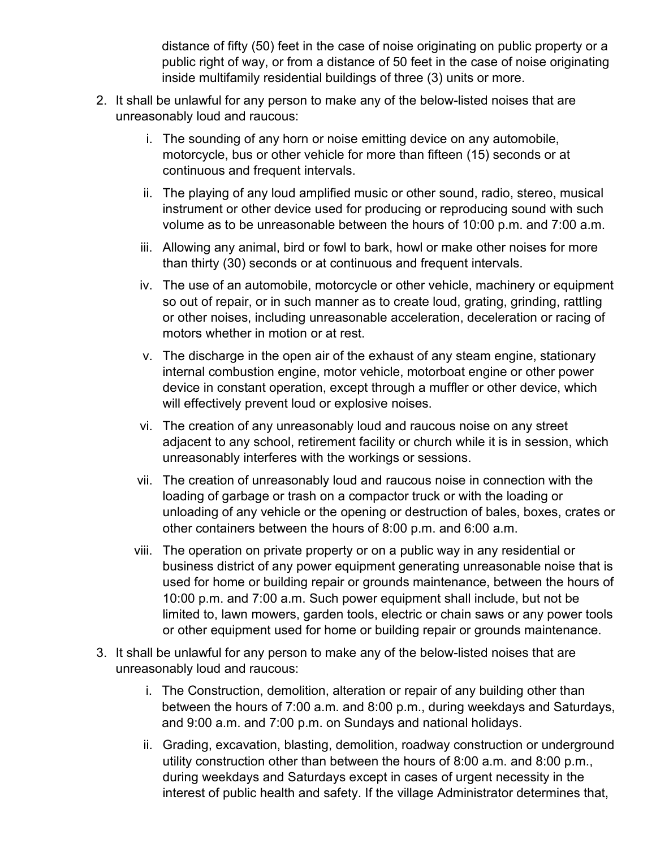distance of fifty (50) feet in the case of noise originating on public property or a public right of way, or from a distance of 50 feet in the case of noise originating inside multifamily residential buildings of three (3) units or more.

- 2. It shall be unlawful for any person to make any of the below-listed noises that are unreasonably loud and raucous:
	- i. The sounding of any horn or noise emitting device on any automobile, motorcycle, bus or other vehicle for more than fifteen (15) seconds or at continuous and frequent intervals.
	- ii. The playing of any loud amplified music or other sound, radio, stereo, musical instrument or other device used for producing or reproducing sound with such volume as to be unreasonable between the hours of 10:00 p.m. and 7:00 a.m.
	- iii. Allowing any animal, bird or fowl to bark, howl or make other noises for more than thirty (30) seconds or at continuous and frequent intervals.
	- iv. The use of an automobile, motorcycle or other vehicle, machinery or equipment so out of repair, or in such manner as to create loud, grating, grinding, rattling or other noises, including unreasonable acceleration, deceleration or racing of motors whether in motion or at rest.
	- v. The discharge in the open air of the exhaust of any steam engine, stationary internal combustion engine, motor vehicle, motorboat engine or other power device in constant operation, except through a muffler or other device, which will effectively prevent loud or explosive noises.
	- vi. The creation of any unreasonably loud and raucous noise on any street adjacent to any school, retirement facility or church while it is in session, which unreasonably interferes with the workings or sessions.
	- vii. The creation of unreasonably loud and raucous noise in connection with the loading of garbage or trash on a compactor truck or with the loading or unloading of any vehicle or the opening or destruction of bales, boxes, crates or other containers between the hours of 8:00 p.m. and 6:00 a.m.
	- viii. The operation on private property or on a public way in any residential or business district of any power equipment generating unreasonable noise that is used for home or building repair or grounds maintenance, between the hours of 10:00 p.m. and 7:00 a.m. Such power equipment shall include, but not be limited to, lawn mowers, garden tools, electric or chain saws or any power tools or other equipment used for home or building repair or grounds maintenance.
- 3. It shall be unlawful for any person to make any of the below-listed noises that are unreasonably loud and raucous:
	- i. The Construction, demolition, alteration or repair of any building other than between the hours of 7:00 a.m. and 8:00 p.m., during weekdays and Saturdays, and 9:00 a.m. and 7:00 p.m. on Sundays and national holidays.
	- ii. Grading, excavation, blasting, demolition, roadway construction or underground utility construction other than between the hours of 8:00 a.m. and 8:00 p.m., during weekdays and Saturdays except in cases of urgent necessity in the interest of public health and safety. If the village Administrator determines that,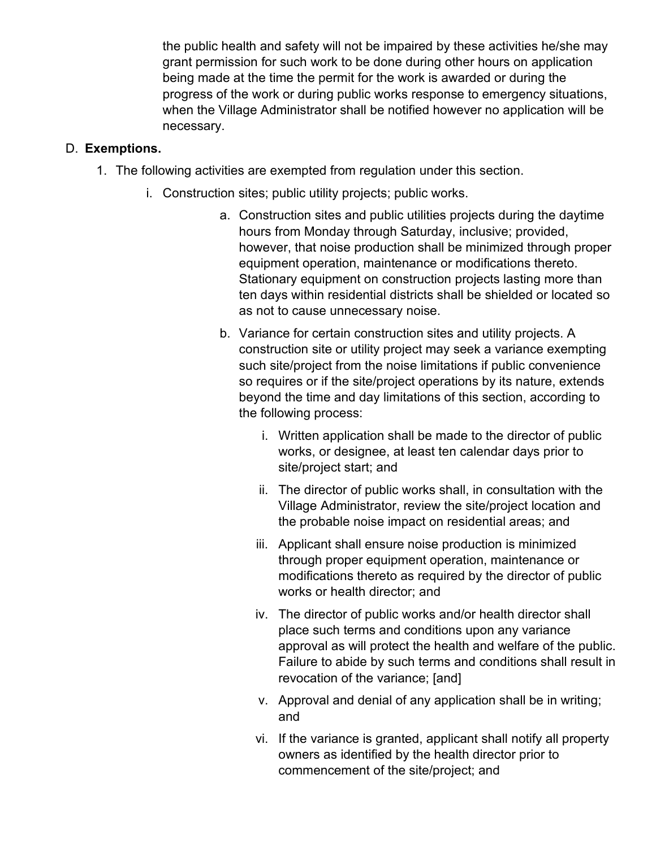the public health and safety will not be impaired by these activities he/she may grant permission for such work to be done during other hours on application being made at the time the permit for the work is awarded or during the progress of the work or during public works response to emergency situations, when the Village Administrator shall be notified however no application will be necessary.

### D. **Exemptions.**

- 1. The following activities are exempted from regulation under this section.
	- i. Construction sites; public utility projects; public works.
		- a. Construction sites and public utilities projects during the daytime hours from Monday through Saturday, inclusive; provided, however, that noise production shall be minimized through proper equipment operation, maintenance or modifications thereto. Stationary equipment on construction projects lasting more than ten days within residential districts shall be shielded or located so as not to cause unnecessary noise.
		- b. Variance for certain construction sites and utility projects. A construction site or utility project may seek a variance exempting such site/project from the noise limitations if public convenience so requires or if the site/project operations by its nature, extends beyond the time and day limitations of this section, according to the following process:
			- i. Written application shall be made to the director of public works, or designee, at least ten calendar days prior to site/project start; and
			- ii. The director of public works shall, in consultation with the Village Administrator, review the site/project location and the probable noise impact on residential areas; and
			- iii. Applicant shall ensure noise production is minimized through proper equipment operation, maintenance or modifications thereto as required by the director of public works or health director; and
			- iv. The director of public works and/or health director shall place such terms and conditions upon any variance approval as will protect the health and welfare of the public. Failure to abide by such terms and conditions shall result in revocation of the variance; [and]
			- v. Approval and denial of any application shall be in writing; and
			- vi. If the variance is granted, applicant shall notify all property owners as identified by the health director prior to commencement of the site/project; and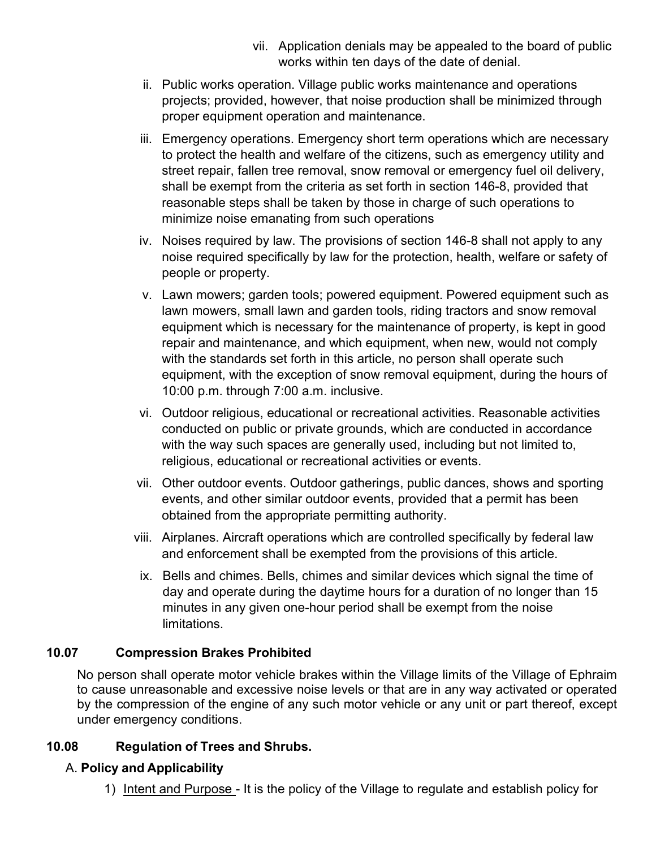- vii. Application denials may be appealed to the board of public works within ten days of the date of denial.
- ii. Public works operation. Village public works maintenance and operations projects; provided, however, that noise production shall be minimized through proper equipment operation and maintenance.
- iii. Emergency operations. Emergency short term operations which are necessary to protect the health and welfare of the citizens, such as emergency utility and street repair, fallen tree removal, snow removal or emergency fuel oil delivery, shall be exempt from the criteria as set forth in section 146-8, provided that reasonable steps shall be taken by those in charge of such operations to minimize noise emanating from such operations
- iv. Noises required by law. The provisions of section 146-8 shall not apply to any noise required specifically by law for the protection, health, welfare or safety of people or property.
- v. Lawn mowers; garden tools; powered equipment. Powered equipment such as lawn mowers, small lawn and garden tools, riding tractors and snow removal equipment which is necessary for the maintenance of property, is kept in good repair and maintenance, and which equipment, when new, would not comply with the standards set forth in this article, no person shall operate such equipment, with the exception of snow removal equipment, during the hours of 10:00 p.m. through 7:00 a.m. inclusive.
- vi. Outdoor religious, educational or recreational activities. Reasonable activities conducted on public or private grounds, which are conducted in accordance with the way such spaces are generally used, including but not limited to, religious, educational or recreational activities or events.
- vii. Other outdoor events. Outdoor gatherings, public dances, shows and sporting events, and other similar outdoor events, provided that a permit has been obtained from the appropriate permitting authority.
- viii. Airplanes. Aircraft operations which are controlled specifically by federal law and enforcement shall be exempted from the provisions of this article.
- ix. Bells and chimes. Bells, chimes and similar devices which signal the time of day and operate during the daytime hours for a duration of no longer than 15 minutes in any given one-hour period shall be exempt from the noise limitations.

# <span id="page-11-0"></span>**10.07 Compression Brakes Prohibited**

No person shall operate motor vehicle brakes within the Village limits of the Village of Ephraim to cause unreasonable and excessive noise levels or that are in any way activated or operated by the compression of the engine of any such motor vehicle or any unit or part thereof, except under emergency conditions.

# <span id="page-11-1"></span>**10.08 Regulation of Trees and Shrubs.**

# A. **Policy and Applicability**

1) Intent and Purpose - It is the policy of the Village to regulate and establish policy for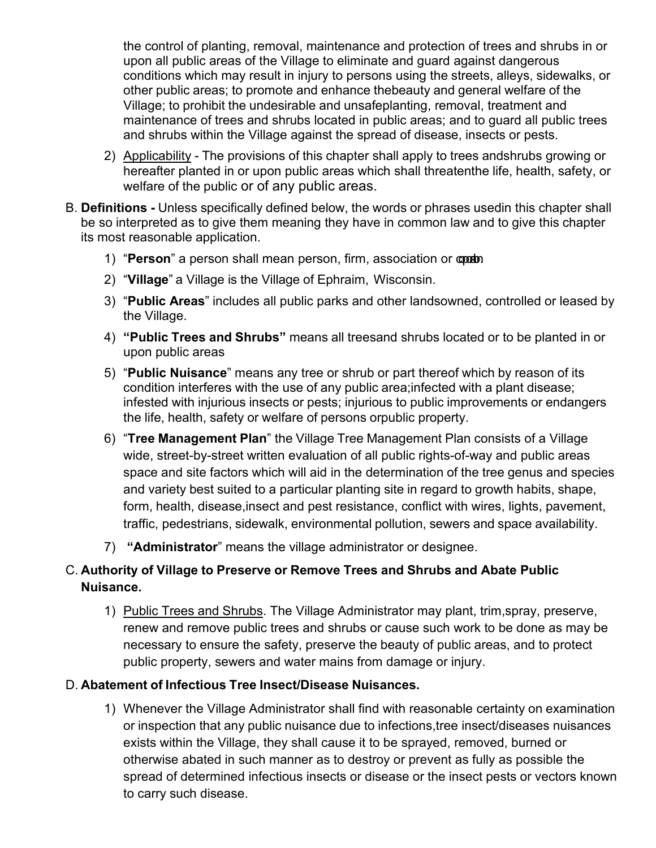the control of planting, removal, maintenance and protection of trees and shrubs in or upon all public areas of the Village to eliminate and guard against dangerous conditions which may result in injury to persons using the streets, alleys, sidewalks, or other public areas; to promote and enhance thebeauty and general welfare of the Village; to prohibit the undesirable and unsafeplanting, removal, treatment and maintenance of trees and shrubs located in public areas; and to guard all public trees and shrubs within the Village against the spread of disease, insects or pests.

- 2) Applicability The provisions of this chapter shall apply to trees andshrubs growing or hereafter planted in or upon public areas which shall threatenthe life, health, safety, or welfare of the public or of any public areas.
- B. **Definitions -** Unless specifically defined below, the words or phrases usedin this chapter shall be so interpreted as to give them meaning they have in common law and to give this chapter its most reasonable application.
	- 1) "Person" a person shall mean person, firm, association or comb
	- 2) "**Village**" a Village is the Village of Ephraim, Wisconsin.
	- 3) "**Public Areas**" includes all public parks and other landsowned, controlled or leased by the Village.
	- 4) **"Public Trees and Shrubs"** means all treesand shrubs located or to be planted in or upon public areas
	- 5) "**Public Nuisance**" means any tree or shrub or part thereof which by reason of its condition interferes with the use of any public area;infected with a plant disease; infested with injurious insects or pests; injurious to public improvements or endangers the life, health, safety or welfare of persons orpublic property.
	- 6) "**Tree Management Plan**" the Village Tree Management Plan consists of a Village wide, street-by-street written evaluation of all public rights-of-way and public areas space and site factors which will aid in the determination of the tree genus and species and variety best suited to a particular planting site in regard to growth habits, shape, form, health, disease,insect and pest resistance, conflict with wires, lights, pavement, traffic, pedestrians, sidewalk, environmental pollution, sewers and space availability.
	- 7) **"Administrator**" means the village administrator or designee.

# C. **Authority of Village to Preserve or Remove Trees and Shrubs and Abate Public Nuisance.**

1) Public Trees and Shrubs. The Village Administrator may plant, trim,spray, preserve, renew and remove public trees and shrubs or cause such work to be done as may be necessary to ensure the safety, preserve the beauty of public areas, and to protect public property, sewers and water mains from damage or injury.

# D. **Abatement of Infectious Tree Insect/Disease Nuisances.**

1) Whenever the Village Administrator shall find with reasonable certainty on examination or inspection that any public nuisance due to infections,tree insect/diseases nuisances exists within the Village, they shall cause it to be sprayed, removed, burned or otherwise abated in such manner as to destroy or prevent as fully as possible the spread of determined infectious insects or disease or the insect pests or vectors known to carry such disease.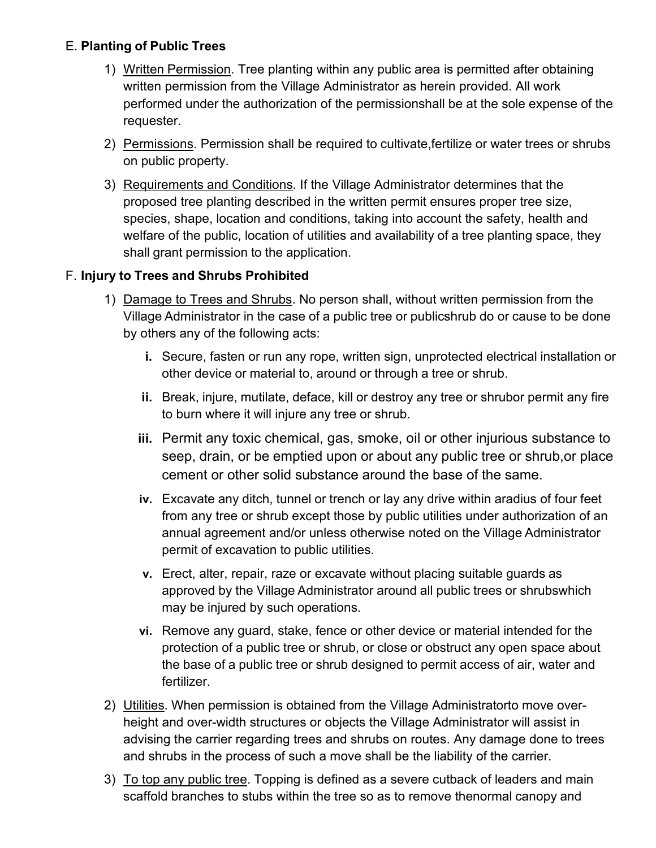### E. **Planting of Public Trees**

- 1) Written Permission. Tree planting within any public area is permitted after obtaining written permission from the Village Administrator as herein provided. All work performed under the authorization of the permissionshall be at the sole expense of the requester.
- 2) Permissions. Permission shall be required to cultivate,fertilize or water trees or shrubs on public property.
- 3) Requirements and Conditions. If the Village Administrator determines that the proposed tree planting described in the written permit ensures proper tree size, species, shape, location and conditions, taking into account the safety, health and welfare of the public, location of utilities and availability of a tree planting space, they shall grant permission to the application.

### F. **Injury to Trees and Shrubs Prohibited**

- 1) Damage to Trees and Shrubs. No person shall, without written permission from the Village Administrator in the case of a public tree or publicshrub do or cause to be done by others any of the following acts:
	- **i.** Secure, fasten or run any rope, written sign, unprotected electrical installation or other device or material to, around or through a tree or shrub.
	- **ii.** Break, injure, mutilate, deface, kill or destroy any tree or shrubor permit any fire to burn where it will injure any tree or shrub.
	- **iii.** Permit any toxic chemical, gas, smoke, oil or other injurious substance to seep, drain, or be emptied upon or about any public tree or shrub,or place cement or other solid substance around the base of the same.
	- **iv.** Excavate any ditch, tunnel or trench or lay any drive within aradius of four feet from any tree or shrub except those by public utilities under authorization of an annual agreement and/or unless otherwise noted on the Village Administrator permit of excavation to public utilities.
	- **v.** Erect, alter, repair, raze or excavate without placing suitable guards as approved by the Village Administrator around all public trees or shrubswhich may be injured by such operations.
	- **vi.** Remove any guard, stake, fence or other device or material intended for the protection of a public tree or shrub, or close or obstruct any open space about the base of a public tree or shrub designed to permit access of air, water and fertilizer.
- 2) Utilities. When permission is obtained from the Village Administratorto move overheight and over-width structures or objects the Village Administrator will assist in advising the carrier regarding trees and shrubs on routes. Any damage done to trees and shrubs in the process of such a move shall be the liability of the carrier.
- 3) To top any public tree. Topping is defined as a severe cutback of leaders and main scaffold branches to stubs within the tree so as to remove thenormal canopy and